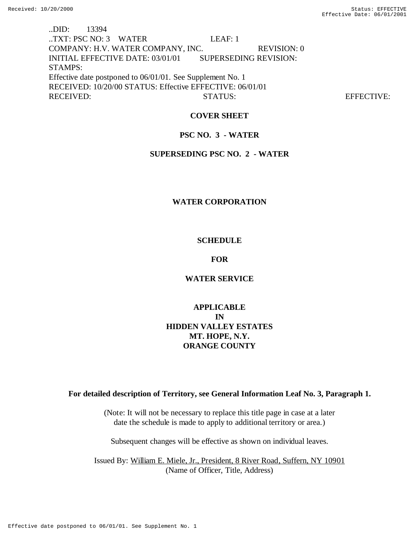..DID: 13394 ..TXT: PSC NO: 3 WATER LEAF: 1 COMPANY: H.V. WATER COMPANY, INC. REVISION: 0 INITIAL EFFECTIVE DATE: 03/01/01 SUPERSEDING REVISION: STAMPS: Effective date postponed to 06/01/01. See Supplement No. 1 RECEIVED: 10/20/00 STATUS: Effective EFFECTIVE: 06/01/01 RECEIVED: STATUS: STATUS: EFFECTIVE:

## **COVER SHEET**

## **PSC NO. 3 - WATER**

### **SUPERSEDING PSC NO. 2 - WATER**

### **WATER CORPORATION**

## **SCHEDULE**

#### **FOR**

## **WATER SERVICE**

## **APPLICABLE IN HIDDEN VALLEY ESTATES MT. HOPE, N.Y. ORANGE COUNTY**

### **For detailed description of Territory, see General Information Leaf No. 3, Paragraph 1.**

(Note: It will not be necessary to replace this title page in case at a later date the schedule is made to apply to additional territory or area.)

Subsequent changes will be effective as shown on individual leaves.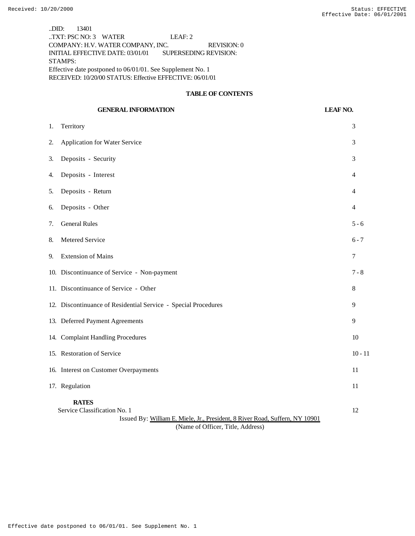..DID: 13401 ..TXT: PSC NO: 3 WATER LEAF: 2 COMPANY: H.V. WATER COMPANY, INC. REVISION: 0 INITIAL EFFECTIVE DATE: 03/01/01 SUPERSEDING REVISION: STAMPS: Effective date postponed to 06/01/01. See Supplement No. 1 RECEIVED: 10/20/00 STATUS: Effective EFFECTIVE: 06/01/01

### **TABLE OF CONTENTS**

## **GENERAL INFORMATION LEAF NO.**

| Territory                                                                                    | 3                                                                                                                                                                                                                                                                                                                                                                                            |
|----------------------------------------------------------------------------------------------|----------------------------------------------------------------------------------------------------------------------------------------------------------------------------------------------------------------------------------------------------------------------------------------------------------------------------------------------------------------------------------------------|
| Application for Water Service                                                                | 3                                                                                                                                                                                                                                                                                                                                                                                            |
| Deposits - Security                                                                          | 3                                                                                                                                                                                                                                                                                                                                                                                            |
| Deposits - Interest                                                                          | 4                                                                                                                                                                                                                                                                                                                                                                                            |
| Deposits - Return                                                                            | 4                                                                                                                                                                                                                                                                                                                                                                                            |
| Deposits - Other                                                                             | 4                                                                                                                                                                                                                                                                                                                                                                                            |
| <b>General Rules</b>                                                                         | $5 - 6$                                                                                                                                                                                                                                                                                                                                                                                      |
| Metered Service                                                                              | $6 - 7$                                                                                                                                                                                                                                                                                                                                                                                      |
| <b>Extension of Mains</b>                                                                    | 7                                                                                                                                                                                                                                                                                                                                                                                            |
|                                                                                              | $7 - 8$                                                                                                                                                                                                                                                                                                                                                                                      |
|                                                                                              | 8                                                                                                                                                                                                                                                                                                                                                                                            |
|                                                                                              | 9                                                                                                                                                                                                                                                                                                                                                                                            |
|                                                                                              | 9                                                                                                                                                                                                                                                                                                                                                                                            |
|                                                                                              | 10                                                                                                                                                                                                                                                                                                                                                                                           |
|                                                                                              | $10 - 11$                                                                                                                                                                                                                                                                                                                                                                                    |
|                                                                                              | 11                                                                                                                                                                                                                                                                                                                                                                                           |
|                                                                                              | 11                                                                                                                                                                                                                                                                                                                                                                                           |
| <b>RATES</b><br>Issued By: William E. Miele, Jr., President, 8 River Road, Suffern, NY 10901 | 12                                                                                                                                                                                                                                                                                                                                                                                           |
|                                                                                              | 10. Discontinuance of Service - Non-payment<br>11. Discontinuance of Service - Other<br>12. Discontinuance of Residential Service - Special Procedures<br>13. Deferred Payment Agreements<br>14. Complaint Handling Procedures<br>15. Restoration of Service<br>16. Interest on Customer Overpayments<br>17. Regulation<br>Service Classification No. 1<br>(Name of Officer, Title, Address) |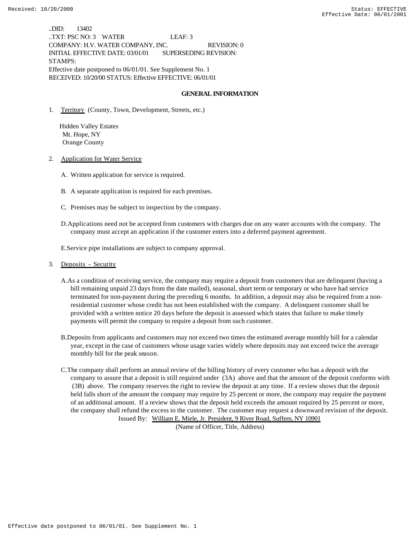..DID: 13402 ..TXT: PSC NO: 3 WATER LEAF: 3 COMPANY: H.V. WATER COMPANY, INC. REVISION: 0 INITIAL EFFECTIVE DATE: 03/01/01 SUPERSEDING REVISION: STAMPS: Effective date postponed to 06/01/01. See Supplement No. 1 RECEIVED: 10/20/00 STATUS: Effective EFFECTIVE: 06/01/01

#### **GENERAL INFORMATION**

1. Territory (County, Town, Development, Streets, etc.)

 Hidden Valley Estates Mt. Hope, NY Orange County

2. Application for Water Service

- A. Written application for service is required.
- B. A separate application is required for each premises.
- C. Premises may be subject to inspection by the company.
- D.Applications need not be accepted from customers with charges due on any water accounts with the company. The company must accept an application if the customer enters into a deferred payment agreement.

E.Service pipe installations are subject to company approval.

#### 3. Deposits - Security

- A.As a condition of receiving service, the company may require a deposit from customers that are delinquent (having a bill remaining unpaid 23 days from the date mailed), seasonal, short term or temporary or who have had service terminated for non-payment during the preceding 6 months. In addition, a deposit may also be required from a nonresidential customer whose credit has not been established with the company. A delinquent customer shall be provided with a written notice 20 days before the deposit is assessed which states that failure to make timely payments will permit the company to require a deposit from such customer.
- B.Deposits from applicants and customers may not exceed two times the estimated average monthly bill for a calendar year, except in the case of customers whose usage varies widely where deposits may not exceed twice the average monthly bill for the peak season.
- C.The company shall perform an annual review of the billing history of every customer who has a deposit with the company to assure that a deposit is still required under (3A) above and that the amount of the deposit conforms with (3B) above. The company reserves the right to review the deposit at any time. If a review shows that the deposit held falls short of the amount the company may require by 25 percent or more, the company may require the payment of an additional amount. If a review shows that the deposit held exceeds the amount required by 25 percent or more, the company shall refund the excess to the customer. The customer may request a downward revision of the deposit. Issued By: William E. Miele, Jr. President, 9 River Road, Suffern, NY 10901

(Name of Officer, Title, Address)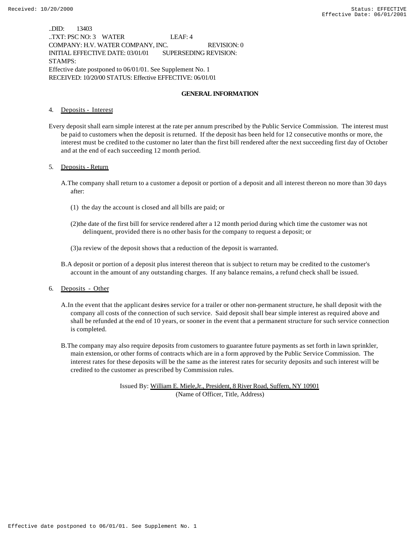..DID: 13403 ..TXT: PSC NO: 3 WATER LEAF: 4 COMPANY: H.V. WATER COMPANY, INC. REVISION: 0 INITIAL EFFECTIVE DATE: 03/01/01 SUPERSEDING REVISION: STAMPS: Effective date postponed to 06/01/01. See Supplement No. 1 RECEIVED: 10/20/00 STATUS: Effective EFFECTIVE: 06/01/01

#### **GENERAL INFORMATION**

4. Deposits - Interest

Every deposit shall earn simple interest at the rate per annum prescribed by the Public Service Commission. The interest must be paid to customers when the deposit is returned. If the deposit has been held for 12 consecutive months or more, the interest must be credited to the customer no later than the first bill rendered after the next succeeding first day of October and at the end of each succeeding 12 month period.

#### 5. Deposits - Return

- A.The company shall return to a customer a deposit or portion of a deposit and all interest thereon no more than 30 days after:
	- (1) the day the account is closed and all bills are paid; or
	- (2)the date of the first bill for service rendered after a 12 month period during which time the customer was not delinquent, provided there is no other basis for the company to request a deposit; or
	- (3)a review of the deposit shows that a reduction of the deposit is warranted.
- B.A deposit or portion of a deposit plus interest thereon that is subject to return may be credited to the customer's account in the amount of any outstanding charges. If any balance remains, a refund check shall be issued.
- 6. Deposits Other
	- A.In the event that the applicant desires service for a trailer or other non-permanent structure, he shall deposit with the company all costs of the connection of such service. Said deposit shall bear simple interest as required above and shall be refunded at the end of 10 years, or sooner in the event that a permanent structure for such service connection is completed.
	- B.The company may also require deposits from customers to guarantee future payments as set forth in lawn sprinkler, main extension, or other forms of contracts which are in a form approved by the Public Service Commission. The interest rates for these deposits will be the same as the interest rates for security deposits and such interest will be credited to the customer as prescribed by Commission rules.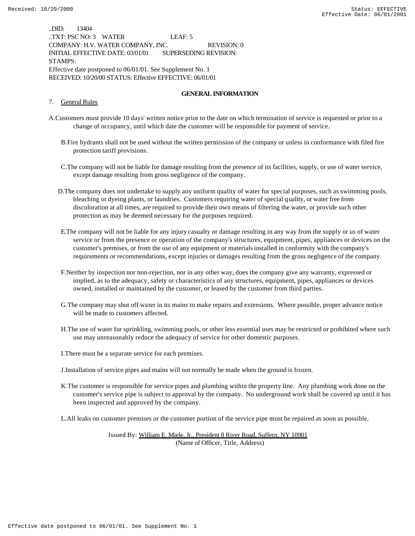..DID: 13404 ..TXT: PSC NO: 3 WATER LEAF: 5 COMPANY: H.V. WATER COMPANY, INC. REVISION: 0 INITIAL EFFECTIVE DATE: 03/01/01 SUPERSEDING REVISION: STAMPS: Effective date postponed to 06/01/01. See Supplement No. 1 RECEIVED: 10/20/00 STATUS: Effective EFFECTIVE: 06/01/01

#### **GENERAL INFORMATION**

#### 7. General Rules

- A.Customers must provide 10 days' written notice prior to the date on which termination of service is requested or prior to a change of occupancy, until which date the customer will be responsible for payment of service.
	- B.Fire hydrants shall not be used without the written permission of the company or unless in conformance with filed fire protection tariff provisions.
	- C.The company will not be liable for damage resulting from the presence of its facilities, supply, or use of water service, except damage resulting from gross negligence of the company.
	- D.The company does not undertake to supply any uniform quality of water for special purposes, such as swimming pools, bleaching or dyeing plants, or laundries. Customers requiring water of special quality, or water free from discoloration at all times, are required to provide their own means of filtering the water, or provide such other protection as may be deemed necessary for the purposes required.
	- E.The company will not be liable for any injury casualty or damage resulting in any way from the supply or us of water service or from the presence or operation of the company's structures, equipment, pipes, appliances or devices on the customer's premises, or from the use of any equipment or materials installed in conformity with the company's requirements or recommendations, except injuries or damages resulting from the gross negligence of the company.
	- F.Neither by inspection nor non-rejection, nor in any other way, does the company give any warranty, expressed or implied, as to the adequacy, safety or characteristics of any structures, equipment, pipes, appliances or devices owned, installed or maintained by the customer, or leased by the customer from third parties.
	- G.The company may shut off water in its mains to make repairs and extensions. Where possible, proper advance notice will be made to customers affected.
	- H.The use of water for sprinkling, swimming pools, or other less essential uses may be restricted or prohibited where such use may unreasonably reduce the adequacy of service for other domestic purposes.
	- I.There must be a separate service for each premises.
	- J.Installation of service pipes and mains will not normally be made when the ground is frozen.
	- K.The customer is responsible for service pipes and plumbing within the property line. Any plumbing work done on the customer's service pipe is subject to approval by the company. No underground work shall be covered up until it has been inspected and approved by the company.

L.All leaks on customer premises or the customer portion of the service pipe must be repaired as soon as possible.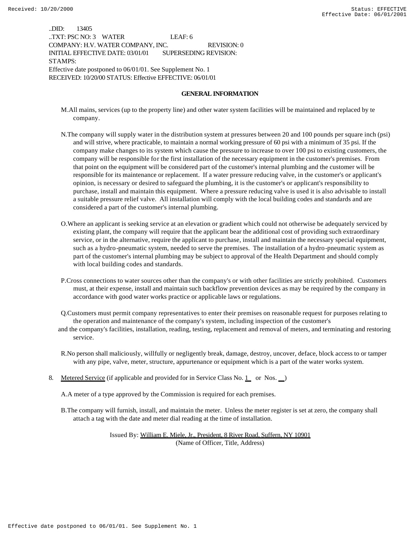..DID: 13405 ..TXT: PSC NO: 3 WATER LEAF: 6 COMPANY: H.V. WATER COMPANY, INC. REVISION: 0 INITIAL EFFECTIVE DATE: 03/01/01 SUPERSEDING REVISION: STAMPS: Effective date postponed to 06/01/01. See Supplement No. 1 RECEIVED: 10/20/00 STATUS: Effective EFFECTIVE: 06/01/01

#### **GENERAL INFORMATION**

- M.All mains, services (up to the property line) and other water system facilities will be maintained and replaced by te company.
- N.The company will supply water in the distribution system at pressures between 20 and 100 pounds per square inch (psi) and will strive, where practicable, to maintain a normal working pressure of 60 psi with a minimum of 35 psi. If the company make changes to its system which cause the pressure to increase to over 100 psi to existing customers, the company will be responsible for the first installation of the necessary equipment in the customer's premises. From that point on the equipment will be considered part of the customer's internal plumbing and the customer will be responsible for its maintenance or replacement. If a water pressure reducing valve, in the customer's or applicant's opinion, is necessary or desired to safeguard the plumbing, it is the customer's or applicant's responsibility to purchase, install and maintain this equipment. Where a pressure reducing valve is used it is also advisable to install a suitable pressure relief valve. All installation will comply with the local building codes and standards and are considered a part of the customer's internal plumbing.
- O.Where an applicant is seeking service at an elevation or gradient which could not otherwise be adequately serviced by existing plant, the company will require that the applicant bear the additional cost of providing such extraordinary service, or in the alternative, require the applicant to purchase, install and maintain the necessary special equipment, such as a hydro-pneumatic system, needed to serve the premises. The installation of a hydro-pneumatic system as part of the customer's internal plumbing may be subject to approval of the Health Department and should comply with local building codes and standards.
- P.Cross connections to water sources other than the company's or with other facilities are strictly prohibited. Customers must, at their expense, install and maintain such backflow prevention devices as may be required by the company in accordance with good water works practice or applicable laws or regulations.
- Q.Customers must permit company representatives to enter their premises on reasonable request for purposes relating to the operation and maintenance of the company's system, including inspection of the customer's
- and the company's facilities, installation, reading, testing, replacement and removal of meters, and terminating and restoring service.
- R.No person shall maliciously, willfully or negligently break, damage, destroy, uncover, deface, block access to or tamper with any pipe, valve, meter, structure, appurtenance or equipment which is a part of the water works system.
- 8. Metered Service (if applicable and provided for in Service Class No. 1 or Nos. )

A.A meter of a type approved by the Commission is required for each premises.

B.The company will furnish, install, and maintain the meter. Unless the meter register is set at zero, the company shall attach a tag with the date and meter dial reading at the time of installation.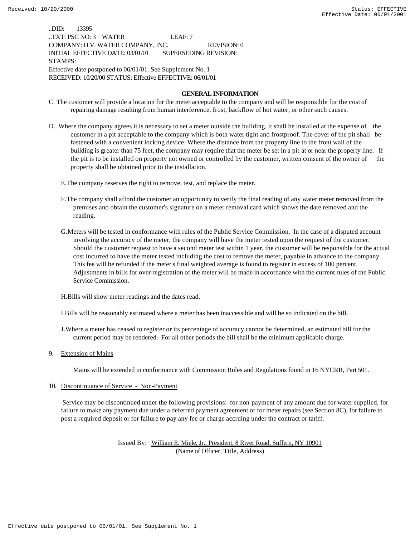..DID: 13395 ..TXT: PSC NO: 3 WATER LEAF: 7 COMPANY: H.V. WATER COMPANY, INC. REVISION: 0 INITIAL EFFECTIVE DATE: 03/01/01 SUPERSEDING REVISION: STAMPS: Effective date postponed to 06/01/01. See Supplement No. 1 RECEIVED: 10/20/00 STATUS: Effective EFFECTIVE: 06/01/01

#### **GENERAL INFORMATION**

- C. The customer will provide a location for the meter acceptable to the company and will be responsible for the cost of repairing damage resulting from human interference, frost, backflow of hot water, or other such causes.
- D. Where the company agrees it is necessary to set a meter outside the building, it shall be installed at the expense of the customer in a pit acceptable to the company which is both water-tight and frostproof. The cover of the pit shall be fastened with a convenient locking device. Where the distance from the property line to the front wall of the building is greater than 75 feet, the company may require that the meter be set in a pit at or near the property line. If the pit is to be installed on property not owned or controlled by the customer, written consent of the owner of property shall be obtained prior to the installation.

E.The company reserves the right to remove, test, and replace the meter.

- F.The company shall afford the customer an opportunity to verify the final reading of any water meter removed from the premises and obtain the customer's signature on a meter removal card which shows the date removed and the reading.
- G.Meters will be tested in conformance with rules of the Public Service Commission. In the case of a disputed account involving the accuracy of the meter, the company will have the meter tested upon the request of the customer. Should the customer request to have a second meter test within 1 year, the customer will be responsible for the actual cost incurred to have the meter tested including the cost to remove the meter, payable in advance to the company. This fee will be refunded if the meter's final weighted average is found to register in excess of 100 percent. Adjustments in bills for over-registration of the meter will be made in accordance with the current rules of the Public Service Commission.

H.Bills will show meter readings and the dates read.

I.Bills will be reasonably estimated where a meter has been inaccessible and will be so indicated on the bill.

- J.Where a meter has ceased to register or its percentage of accuracy cannot be determined, an estimated bill for the current period may be rendered. For all other periods the bill shall be the minimum applicable charge.
- 9. Extension of Mains

Mains will be extended in conformance with Commission Rules and Regulations found in 16 NYCRR, Part 501.

#### 10. Discontinuance of Service - Non-Payment

 Service may be discontinued under the following provisions: for non-payment of any amount due for water supplied, for failure to make any payment due under a deferred payment agreement or for meter repairs (see Section 8C), for failure to post a required deposit or for failure to pay any fee or charge accruing under the contract or tariff.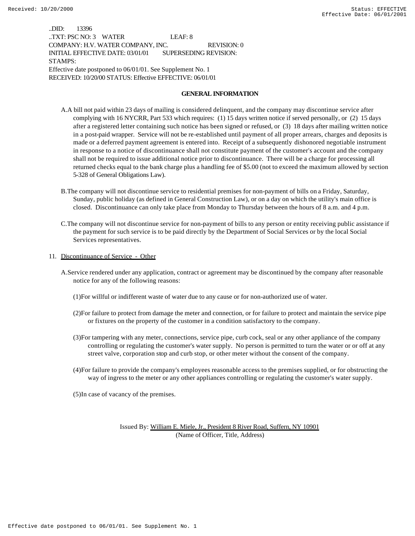..DID: 13396 ..TXT: PSC NO: 3 WATER LEAF: 8 COMPANY: H.V. WATER COMPANY, INC. REVISION: 0 INITIAL EFFECTIVE DATE: 03/01/01 SUPERSEDING REVISION: STAMPS: Effective date postponed to 06/01/01. See Supplement No. 1 RECEIVED: 10/20/00 STATUS: Effective EFFECTIVE: 06/01/01

#### **GENERAL INFORMATION**

- A.A bill not paid within 23 days of mailing is considered delinquent, and the company may discontinue service after complying with 16 NYCRR, Part 533 which requires: (1) 15 days written notice if served personally, or (2) 15 days after a registered letter containing such notice has been signed or refused, or (3) 18 days after mailing written notice in a post-paid wrapper. Service will not be re-established until payment of all proper arrears, charges and deposits is made or a deferred payment agreement is entered into. Receipt of a subsequently dishonored negotiable instrument in response to a notice of discontinuance shall not constitute payment of the customer's account and the company shall not be required to issue additional notice prior to discontinuance. There will be a charge for processing all returned checks equal to the bank charge plus a handling fee of \$5.00 (not to exceed the maximum allowed by section 5-328 of General Obligations Law).
- B.The company will not discontinue service to residential premises for non-payment of bills on a Friday, Saturday, Sunday, public holiday (as defined in General Construction Law), or on a day on which the utility's main office is closed. Discontinuance can only take place from Monday to Thursday between the hours of 8 a.m. and 4 p.m.
- C.The company will not discontinue service for non-payment of bills to any person or entity receiving public assistance if the payment for such service is to be paid directly by the Department of Social Services or by the local Social Services representatives.
- 11. Discontinuance of Service Other
	- A.Service rendered under any application, contract or agreement may be discontinued by the company after reasonable notice for any of the following reasons:
		- (1)For willful or indifferent waste of water due to any cause or for non-authorized use of water.
		- (2)For failure to protect from damage the meter and connection, or for failure to protect and maintain the service pipe or fixtures on the property of the customer in a condition satisfactory to the company.
		- (3)For tampering with any meter, connections, service pipe, curb cock, seal or any other appliance of the company controlling or regulating the customer's water supply. No person is permitted to turn the water or or off at any street valve, corporation stop and curb stop, or other meter without the consent of the company.
		- (4)For failure to provide the company's employees reasonable access to the premises supplied, or for obstructing the way of ingress to the meter or any other appliances controlling or regulating the customer's water supply.

(5)In case of vacancy of the premises.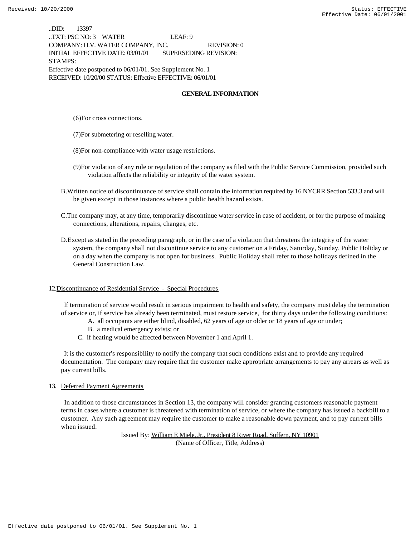..DID: 13397 ..TXT: PSC NO: 3 WATER LEAF: 9 COMPANY: H.V. WATER COMPANY, INC. REVISION: 0 INITIAL EFFECTIVE DATE: 03/01/01 SUPERSEDING REVISION: STAMPS: Effective date postponed to 06/01/01. See Supplement No. 1 RECEIVED: 10/20/00 STATUS: Effective EFFECTIVE: 06/01/01

### **GENERAL INFORMATION**

(6)For cross connections.

(7)For submetering or reselling water.

- (8)For non-compliance with water usage restrictions.
- (9)For violation of any rule or regulation of the company as filed with the Public Service Commission, provided such violation affects the reliability or integrity of the water system.
- B.Written notice of discontinuance of service shall contain the information required by 16 NYCRR Section 533.3 and will be given except in those instances where a public health hazard exists.
- C.The company may, at any time, temporarily discontinue water service in case of accident, or for the purpose of making connections, alterations, repairs, changes, etc.
- D.Except as stated in the preceding paragraph, or in the case of a violation that threatens the integrity of the water system, the company shall not discontinue service to any customer on a Friday, Saturday, Sunday, Public Holiday or on a day when the company is not open for business. Public Holiday shall refer to those holidays defined in the General Construction Law.

#### 12.Discontinuance of Residential Service - Special Procedures

 If termination of service would result in serious impairment to health and safety, the company must delay the termination of service or, if service has already been terminated, must restore service, for thirty days under the following conditions:

- A. all occupants are either blind, disabled, 62 years of age or older or 18 years of age or under;
- B. a medical emergency exists; or
- C. if heating would be affected between November 1 and April 1.

 It is the customer's responsibility to notify the company that such conditions exist and to provide any required documentation. The company may require that the customer make appropriate arrangements to pay any arrears as well as pay current bills.

#### 13. Deferred Payment Agreements

 In addition to those circumstances in Section 13, the company will consider granting customers reasonable payment terms in cases where a customer is threatened with termination of service, or where the company has issued a backbill to a customer. Any such agreement may require the customer to make a reasonable down payment, and to pay current bills when issued.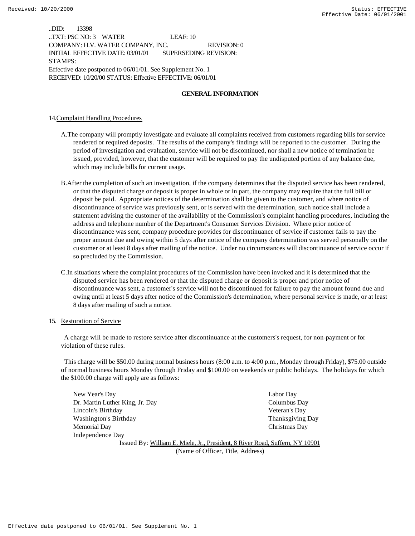..DID: 13398 ..TXT: PSC NO: 3 WATER LEAF: 10 COMPANY: H.V. WATER COMPANY, INC. REVISION: 0 INITIAL EFFECTIVE DATE: 03/01/01 SUPERSEDING REVISION: STAMPS: Effective date postponed to 06/01/01. See Supplement No. 1 RECEIVED: 10/20/00 STATUS: Effective EFFECTIVE: 06/01/01

### **GENERAL INFORMATION**

#### 14.Complaint Handling Procedures

- A.The company will promptly investigate and evaluate all complaints received from customers regarding bills for service rendered or required deposits. The results of the company's findings will be reported to the customer. During the period of investigation and evaluation, service will not be discontinued, nor shall a new notice of termination be issued, provided, however, that the customer will be required to pay the undisputed portion of any balance due, which may include bills for current usage.
- B.After the completion of such an investigation, if the company determines that the disputed service has been rendered, or that the disputed charge or deposit is proper in whole or in part, the company may require that the full bill or deposit be paid. Appropriate notices of the determination shall be given to the customer, and where notice of discontinuance of service was previously sent, or is served with the determination, such notice shall include a statement advising the customer of the availability of the Commission's complaint handling procedures, including the address and telephone number of the Department's Consumer Services Division. Where prior notice of discontinuance was sent, company procedure provides for discontinuance of service if customer fails to pay the proper amount due and owing within 5 days after notice of the company determination was served personally on the customer or at least 8 days after mailing of the notice. Under no circumstances will discontinuance of service occur if so precluded by the Commission.
- C.In situations where the complaint procedures of the Commission have been invoked and it is determined that the disputed service has been rendered or that the disputed charge or deposit is proper and prior notice of discontinuance was sent, a customer's service will not be discontinued for failure to pay the amount found due and owing until at least 5 days after notice of the Commission's determination, where personal service is made, or at least 8 days after mailing of such a notice.

#### 15. Restoration of Service

 A charge will be made to restore service after discontinuance at the customers's request, for non-payment or for violation of these rules.

 This charge will be \$50.00 during normal business hours (8:00 a.m. to 4:00 p.m., Monday through Friday), \$75.00 outside of normal business hours Monday through Friday and \$100.00 on weekends or public holidays. The holidays for which the \$100.00 charge will apply are as follows:

| New Year's Day                  | Labor Day                                                                    |
|---------------------------------|------------------------------------------------------------------------------|
| Dr. Martin Luther King, Jr. Day | Columbus Day                                                                 |
| Lincoln's Birthday              | Veteran's Day                                                                |
| Washington's Birthday           | <b>Thanksgiving Day</b>                                                      |
| Memorial Day                    | Christmas Day                                                                |
| Independence Day                |                                                                              |
|                                 | Issued By: William E. Miele, Jr., President, 8 River Road, Suffern, NY 10901 |

(Name of Officer, Title, Address)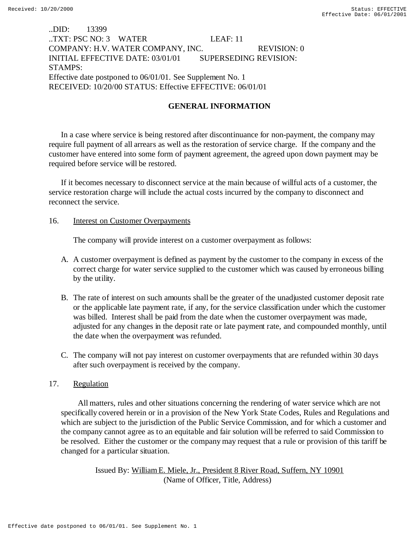## ..DID: 13399 ..TXT: PSC NO: 3 WATER LEAF: 11 COMPANY: H.V. WATER COMPANY, INC. REVISION: 0 INITIAL EFFECTIVE DATE: 03/01/01 SUPERSEDING REVISION: STAMPS: Effective date postponed to 06/01/01. See Supplement No. 1 RECEIVED: 10/20/00 STATUS: Effective EFFECTIVE: 06/01/01

## **GENERAL INFORMATION**

In a case where service is being restored after discontinuance for non-payment, the company may require full payment of all arrears as well as the restoration of service charge. If the company and the customer have entered into some form of payment agreement, the agreed upon down payment may be required before service will be restored.

If it becomes necessary to disconnect service at the main because of willful acts of a customer, the service restoration charge will include the actual costs incurred by the company to disconnect and reconnect the service.

## 16. **Interest on Customer Overpayments**

The company will provide interest on a customer overpayment as follows:

- A. A customer overpayment is defined as payment by the customer to the company in excess of the correct charge for water service supplied to the customer which was caused by erroneous billing by the utility.
- B. The rate of interest on such amounts shall be the greater of the unadjusted customer deposit rate or the applicable late payment rate, if any, for the service classification under which the customer was billed. Interest shall be paid from the date when the customer overpayment was made, adjusted for any changes in the deposit rate or late payment rate, and compounded monthly, until the date when the overpayment was refunded.
- C. The company will not pay interest on customer overpayments that are refunded within 30 days after such overpayment is received by the company.

## 17. Regulation

 All matters, rules and other situations concerning the rendering of water service which are not specifically covered herein or in a provision of the New York State Codes, Rules and Regulations and which are subject to the jurisdiction of the Public Service Commission, and for which a customer and the company cannot agree as to an equitable and fair solution will be referred to said Commission to be resolved. Either the customer or the company may request that a rule or provision of this tariff be changed for a particular situation.